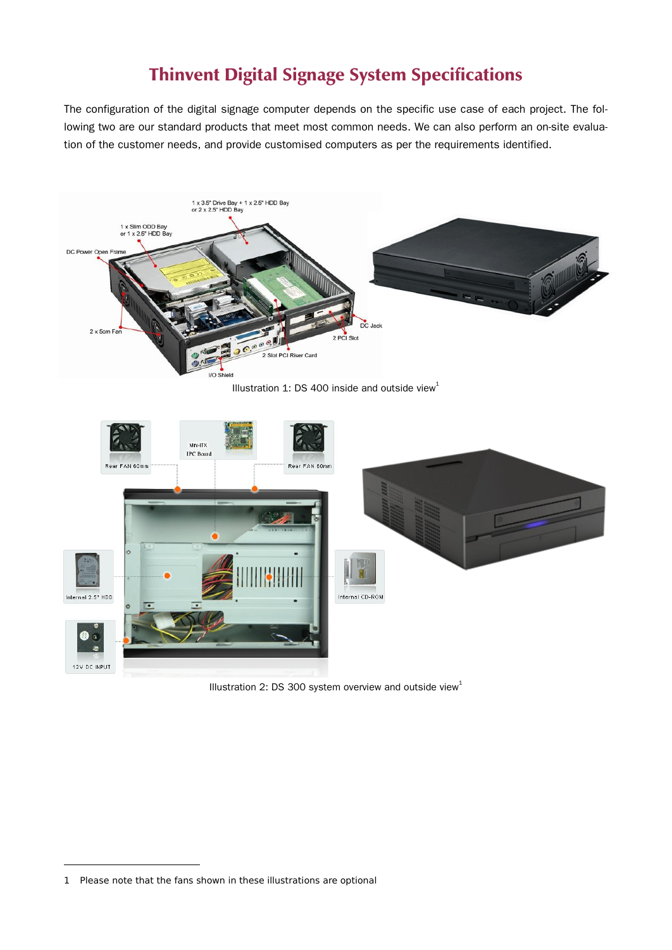# **Thinvent Digital Signage System Specifications**

The configuration of the digital signage computer depends on the specific use case of each project. The following two are our standard products that meet most common needs. We can also perform an on-site evaluation of the customer needs, and provide customised computers as per the requirements identified.



Illustration [1](#page-0-0): DS 400 inside and outside view<sup>1</sup>



Illustration 2: DS 300 system overview and outside view<sup>1</sup>

<span id="page-0-0"></span><sup>1</sup> Please note that the fans shown in these illustrations are optional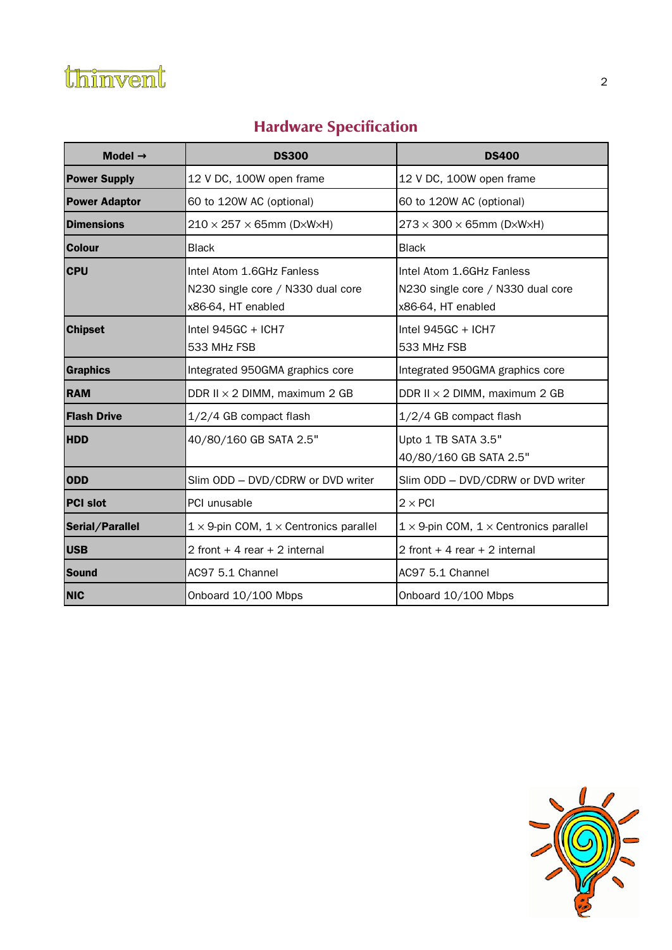

# **Hardware Specification**

| Model $\rightarrow$  | <b>DS300</b>                                                                         | <b>DS400</b>                                                                         |
|----------------------|--------------------------------------------------------------------------------------|--------------------------------------------------------------------------------------|
| <b>Power Supply</b>  | 12 V DC, 100W open frame                                                             | 12 V DC, 100W open frame                                                             |
| <b>Power Adaptor</b> | 60 to 120W AC (optional)                                                             | 60 to 120W AC (optional)                                                             |
| <b>Dimensions</b>    | $210 \times 257 \times 65$ mm (D $\times$ W $\times$ H)                              | $273 \times 300 \times 65$ mm (D $\times$ W $\times$ H)                              |
| <b>Colour</b>        | <b>Black</b>                                                                         | <b>Black</b>                                                                         |
| <b>CPU</b>           | Intel Atom 1.6GHz Fanless<br>N230 single core / N330 dual core<br>x86-64, HT enabled | Intel Atom 1.6GHz Fanless<br>N230 single core / N330 dual core<br>x86-64, HT enabled |
| <b>Chipset</b>       | Intel $945GC + ICH7$<br>533 MHz FSB                                                  | Intel $945GC + ICH7$<br>533 MHz FSB                                                  |
| Graphics             | Integrated 950GMA graphics core                                                      | Integrated 950GMA graphics core                                                      |
| <b>RAM</b>           | DDR II $\times$ 2 DIMM, maximum 2 GB                                                 | DDR II $\times$ 2 DIMM, maximum 2 GB                                                 |
| <b>Flash Drive</b>   | 1/2/4 GB compact flash                                                               | 1/2/4 GB compact flash                                                               |
| <b>HDD</b>           | 40/80/160 GB SATA 2.5"                                                               | Upto 1 TB SATA 3.5"<br>40/80/160 GB SATA 2.5"                                        |
| <b>ODD</b>           | Slim ODD - DVD/CDRW or DVD writer                                                    | Slim ODD - DVD/CDRW or DVD writer                                                    |
| <b>PCI slot</b>      | PCI unusable                                                                         | $2 \times$ PCI                                                                       |
| Serial/Parallel      | $1 \times 9$ -pin COM, $1 \times$ Centronics parallel                                | $1 \times 9$ -pin COM, $1 \times$ Centronics parallel                                |
| <b>USB</b>           | 2 front $+4$ rear $+2$ internal                                                      | 2 front $+4$ rear $+2$ internal                                                      |
| Sound                | AC97 5.1 Channel                                                                     | AC97 5.1 Channel                                                                     |
| <b>NIC</b>           | Onboard 10/100 Mbps                                                                  | Onboard 10/100 Mbps                                                                  |

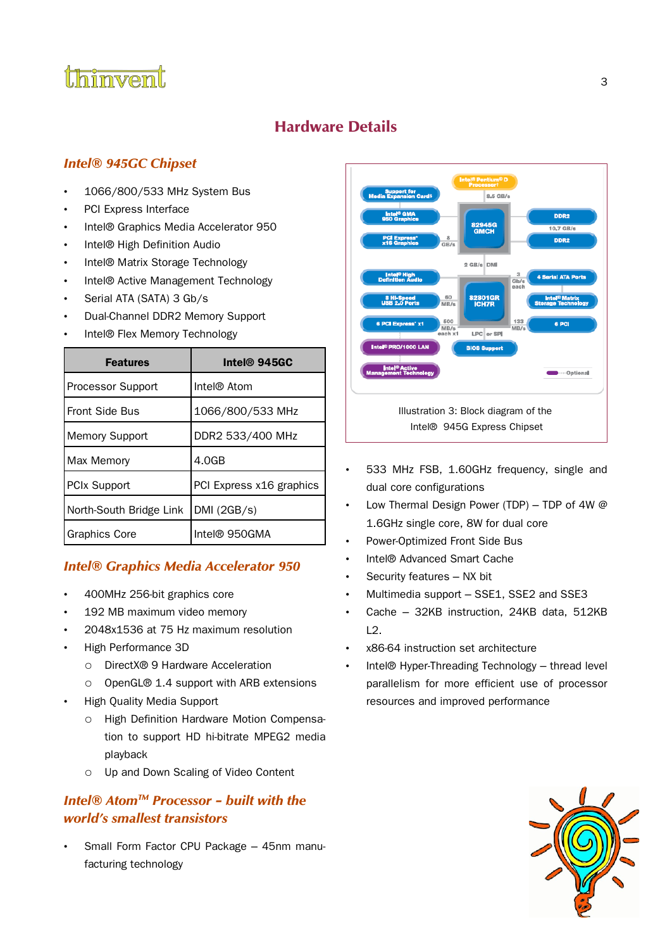

## **Hardware Details**

### **Intel® 945GC Chipset**

- 1066/800/533 MHz System Bus
- PCI Express Interface
- Intel® Graphics Media Accelerator 950
- Intel® High Definition Audio
- Intel® Matrix Storage Technology
- Intel® Active Management Technology
- Serial ATA (SATA) 3 Gb/s
- Dual-Channel DDR2 Memory Support
- Intel® Flex Memory Technology

| <b>Features</b>         | Intel® 945GC             |
|-------------------------|--------------------------|
| Processor Support       | Intel® Atom              |
| <b>Front Side Bus</b>   | 1066/800/533 MHz         |
| <b>Memory Support</b>   | DDR2 533/400 MHz         |
| Max Memory              | 4.0 <sub>GB</sub>        |
| <b>PCIx Support</b>     | PCI Express x16 graphics |
| North-South Bridge Link | DMI (2GB/s)              |
| <b>Graphics Core</b>    | Intel® 950GMA            |

#### **Intel® Graphics Media Accelerator 950**

- 400MHz 256-bit graphics core
- 192 MB maximum video memory
- 2048x1536 at 75 Hz maximum resolution
- High Performance 3D
	- DirectX® 9 Hardware Acceleration
	- OpenGL® 1.4 support with ARB extensions
- High Quality Media Support
	- High Definition Hardware Motion Compensation to support HD hi-bitrate MPEG2 media playback
	- Up and Down Scaling of Video Content

### **Intel<sup>®</sup> Atom<sup>™</sup> Processor – built with the world's smallest transistors**

• Small Form Factor CPU Package – 45nm manufacturing technology



- 533 MHz FSB, 1.60GHz frequency, single and dual core configurations
- Low Thermal Design Power (TDP) TDP of 4W  $@$ 1.6GHz single core, 8W for dual core
- Power-Optimized Front Side Bus
- Intel® Advanced Smart Cache
- Security features NX bit
- Multimedia support SSE1, SSE2 and SSE3
- Cache 32KB instruction, 24KB data, 512KB  $L2.$
- x86-64 instruction set architecture
- Intel® Hyper-Threading Technology thread level parallelism for more efficient use of processor resources and improved performance

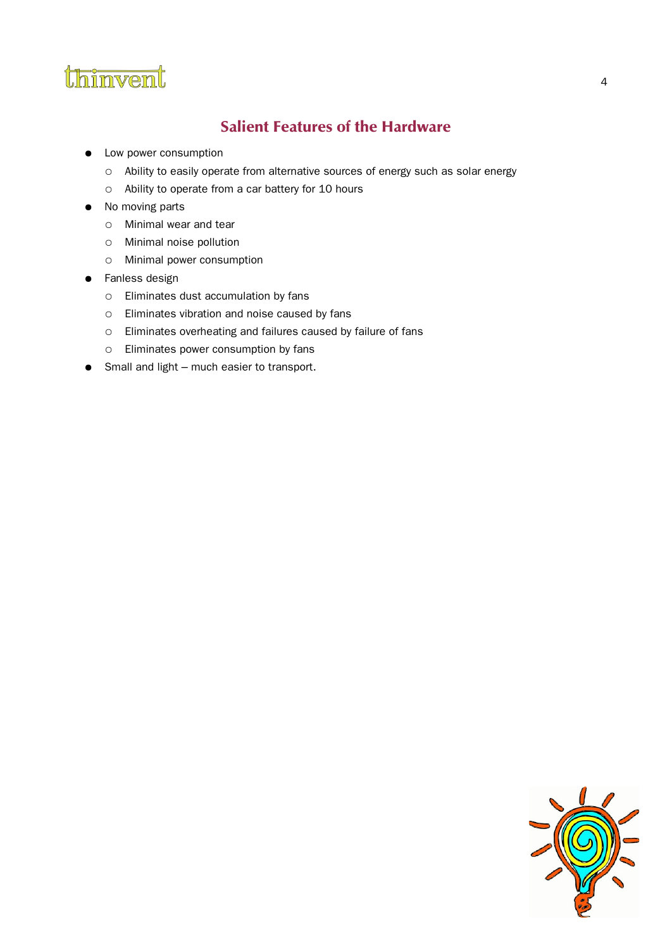

## **Salient Features of the Hardware**

- Low power consumption
	- Ability to easily operate from alternative sources of energy such as solar energy
	- Ability to operate from a car battery for 10 hours
- No moving parts
	- Minimal wear and tear
	- Minimal noise pollution
	- Minimal power consumption
- Fanless design
	- Eliminates dust accumulation by fans
	- Eliminates vibration and noise caused by fans
	- Eliminates overheating and failures caused by failure of fans
	- Eliminates power consumption by fans
- Small and light much easier to transport.